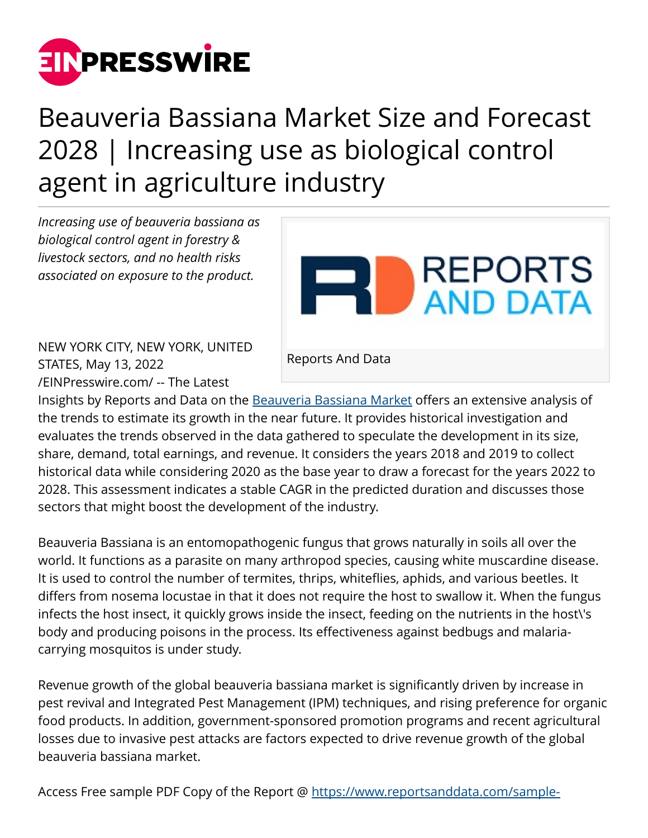

## Beauveria Bassiana Market Size and Forecast 2028 | Increasing use as biological control agent in agriculture industry

*Increasing use of beauveria bassiana as biological control agent in forestry & livestock sectors, and no health risks associated on exposure to the product.*



NEW YORK CITY, NEW YORK, UNITED STATES, May 13, 2022 [/EINPresswire.com/](http://www.einpresswire.com) -- The Latest

Reports And Data

Insights by Reports and Data on the [Beauveria Bassiana Market](https://www.reportsanddata.com/report-detail/beauveria-bassiana-market) offers an extensive analysis of the trends to estimate its growth in the near future. It provides historical investigation and evaluates the trends observed in the data gathered to speculate the development in its size, share, demand, total earnings, and revenue. It considers the years 2018 and 2019 to collect historical data while considering 2020 as the base year to draw a forecast for the years 2022 to 2028. This assessment indicates a stable CAGR in the predicted duration and discusses those sectors that might boost the development of the industry.

Beauveria Bassiana is an entomopathogenic fungus that grows naturally in soils all over the world. It functions as a parasite on many arthropod species, causing white muscardine disease. It is used to control the number of termites, thrips, whiteflies, aphids, and various beetles. It differs from nosema locustae in that it does not require the host to swallow it. When the fungus infects the host insect, it quickly grows inside the insect, feeding on the nutrients in the host\'s body and producing poisons in the process. Its effectiveness against bedbugs and malariacarrying mosquitos is under study.

Revenue growth of the global beauveria bassiana market is significantly driven by increase in pest revival and Integrated Pest Management (IPM) techniques, and rising preference for organic food products. In addition, government-sponsored promotion programs and recent agricultural losses due to invasive pest attacks are factors expected to drive revenue growth of the global beauveria bassiana market.

Access Free sample PDF Copy of the Report @ [https://www.reportsanddata.com/sample-](https://www.reportsanddata.com/sample-enquiry-form/4416)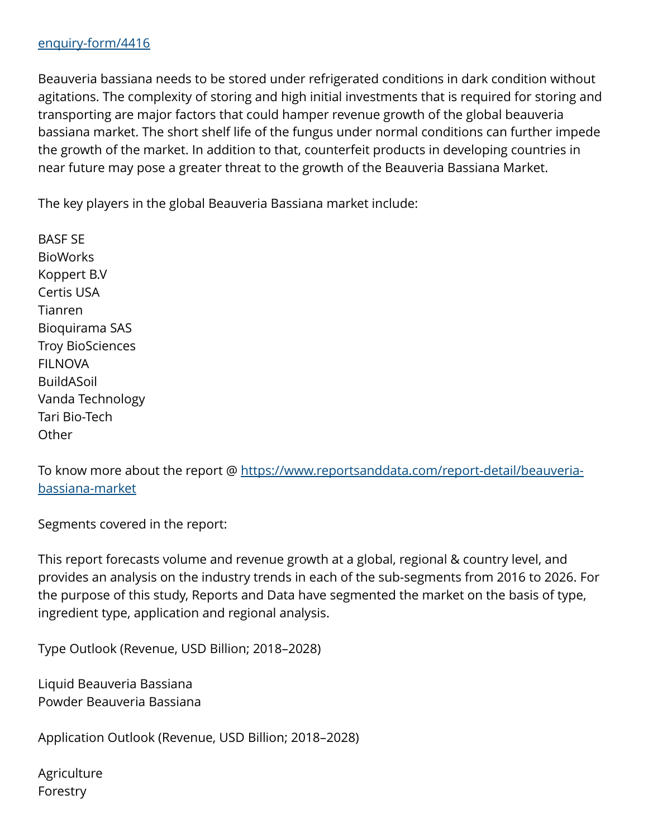Beauveria bassiana needs to be stored under refrigerated conditions in dark condition without agitations. The complexity of storing and high initial investments that is required for storing and transporting are major factors that could hamper revenue growth of the global beauveria bassiana market. The short shelf life of the fungus under normal conditions can further impede the growth of the market. In addition to that, counterfeit products in developing countries in near future may pose a greater threat to the growth of the Beauveria Bassiana Market.

The key players in the global Beauveria Bassiana market include:

BASF SE **BioWorks** Koppert B.V Certis USA Tianren Bioquirama SAS Troy BioSciences FILNOVA BuildASoil Vanda Technology Tari Bio-Tech **Other** 

To know more about the report @ [https://www.reportsanddata.com/report-detail/beauveria](https://www.reportsanddata.com/report-detail/beauveria-bassiana-market)[bassiana-market](https://www.reportsanddata.com/report-detail/beauveria-bassiana-market)

Segments covered in the report:

This report forecasts volume and revenue growth at a global, regional & country level, and provides an analysis on the industry trends in each of the sub-segments from 2016 to 2026. For the purpose of this study, Reports and Data have segmented the market on the basis of type, ingredient type, application and regional analysis.

Type Outlook (Revenue, USD Billion; 2018–2028)

Liquid Beauveria Bassiana Powder Beauveria Bassiana

Application Outlook (Revenue, USD Billion; 2018–2028)

**Agriculture** Forestry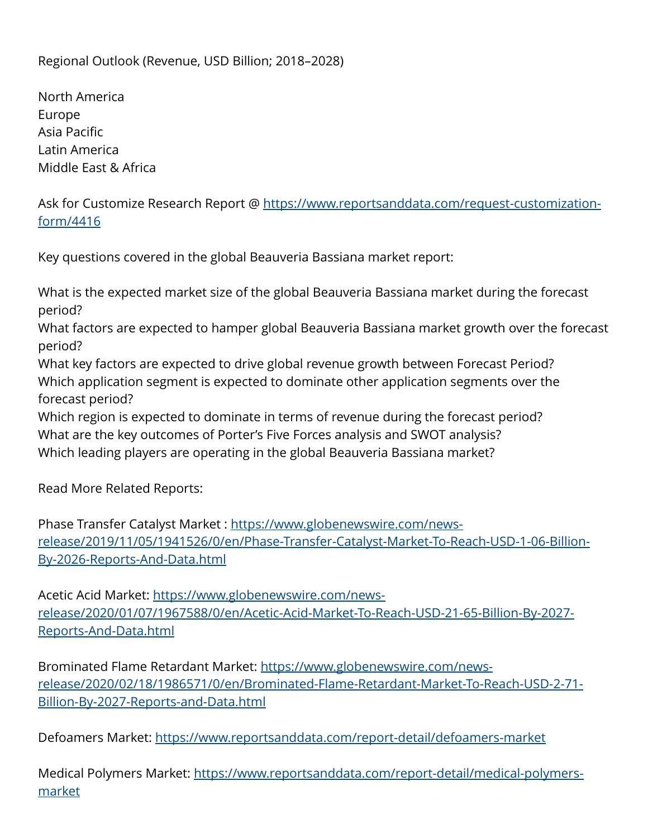Regional Outlook (Revenue, USD Billion; 2018–2028)

North America Europe Asia Pacific Latin America Middle East & Africa

Ask for Customize Research Report @ [https://www.reportsanddata.com/request-customization](https://www.reportsanddata.com/request-customization-form/4416)[form/4416](https://www.reportsanddata.com/request-customization-form/4416)

Key questions covered in the global Beauveria Bassiana market report:

What is the expected market size of the global Beauveria Bassiana market during the forecast period?

What factors are expected to hamper global Beauveria Bassiana market growth over the forecast period?

What key factors are expected to drive global revenue growth between Forecast Period? Which application segment is expected to dominate other application segments over the forecast period?

Which region is expected to dominate in terms of revenue during the forecast period? What are the key outcomes of Porter's Five Forces analysis and SWOT analysis? Which leading players are operating in the global Beauveria Bassiana market?

Read More Related Reports:

Phase Transfer Catalyst Market : [https://www.globenewswire.com/news](https://www.globenewswire.com/news-release/2019/11/05/1941526/0/en/Phase-Transfer-Catalyst-Market-To-Reach-USD-1-06-Billion-By-2026-Reports-And-Data.html)[release/2019/11/05/1941526/0/en/Phase-Transfer-Catalyst-Market-To-Reach-USD-1-06-Billion-](https://www.globenewswire.com/news-release/2019/11/05/1941526/0/en/Phase-Transfer-Catalyst-Market-To-Reach-USD-1-06-Billion-By-2026-Reports-And-Data.html)[By-2026-Reports-And-Data.html](https://www.globenewswire.com/news-release/2019/11/05/1941526/0/en/Phase-Transfer-Catalyst-Market-To-Reach-USD-1-06-Billion-By-2026-Reports-And-Data.html)

Acetic Acid Market: [https://www.globenewswire.com/news](https://www.globenewswire.com/news-release/2020/01/07/1967588/0/en/Acetic-Acid-Market-To-Reach-USD-21-65-Billion-By-2027-Reports-And-Data.html)[release/2020/01/07/1967588/0/en/Acetic-Acid-Market-To-Reach-USD-21-65-Billion-By-2027-](https://www.globenewswire.com/news-release/2020/01/07/1967588/0/en/Acetic-Acid-Market-To-Reach-USD-21-65-Billion-By-2027-Reports-And-Data.html) [Reports-And-Data.html](https://www.globenewswire.com/news-release/2020/01/07/1967588/0/en/Acetic-Acid-Market-To-Reach-USD-21-65-Billion-By-2027-Reports-And-Data.html)

Brominated Flame Retardant Market: [https://www.globenewswire.com/news](https://www.globenewswire.com/news-release/2020/02/18/1986571/0/en/Brominated-Flame-Retardant-Market-To-Reach-USD-2-71-Billion-By-2027-Reports-and-Data.html)[release/2020/02/18/1986571/0/en/Brominated-Flame-Retardant-Market-To-Reach-USD-2-71-](https://www.globenewswire.com/news-release/2020/02/18/1986571/0/en/Brominated-Flame-Retardant-Market-To-Reach-USD-2-71-Billion-By-2027-Reports-and-Data.html) [Billion-By-2027-Reports-and-Data.html](https://www.globenewswire.com/news-release/2020/02/18/1986571/0/en/Brominated-Flame-Retardant-Market-To-Reach-USD-2-71-Billion-By-2027-Reports-and-Data.html)

Defoamers Market: <https://www.reportsanddata.com/report-detail/defoamers-market>

Medical Polymers Market: [https://www.reportsanddata.com/report-detail/medical-polymers](https://www.reportsanddata.com/report-detail/medical-polymers-market)[market](https://www.reportsanddata.com/report-detail/medical-polymers-market)